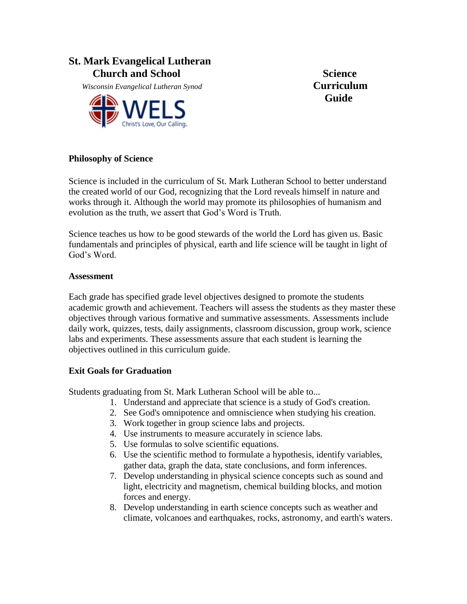# **St. Mark Evangelical Lutheran Church and School Science**

 *Wisconsin Evangelical Lutheran Synod* **Curriculum**



**Guide**

### **Philosophy of Science**

Science is included in the curriculum of St. Mark Lutheran School to better understand the created world of our God, recognizing that the Lord reveals himself in nature and works through it. Although the world may promote its philosophies of humanism and evolution as the truth, we assert that God's Word is Truth.

Science teaches us how to be good stewards of the world the Lord has given us. Basic fundamentals and principles of physical, earth and life science will be taught in light of God's Word.

### **Assessment**

Each grade has specified grade level objectives designed to promote the students academic growth and achievement. Teachers will assess the students as they master these objectives through various formative and summative assessments. Assessments include daily work, quizzes, tests, daily assignments, classroom discussion, group work, science labs and experiments. These assessments assure that each student is learning the objectives outlined in this curriculum guide.

### **Exit Goals for Graduation**

Students graduating from St. Mark Lutheran School will be able to...

- 1. Understand and appreciate that science is a study of God's creation.
- 2. See God's omnipotence and omniscience when studying his creation.
- 3. Work together in group science labs and projects.
- 4. Use instruments to measure accurately in science labs.
- 5. Use formulas to solve scientific equations.
- 6. Use the scientific method to formulate a hypothesis, identify variables, gather data, graph the data, state conclusions, and form inferences.
- 7. Develop understanding in physical science concepts such as sound and light, electricity and magnetism, chemical building blocks, and motion forces and energy.
- 8. Develop understanding in earth science concepts such as weather and climate, volcanoes and earthquakes, rocks, astronomy, and earth's waters.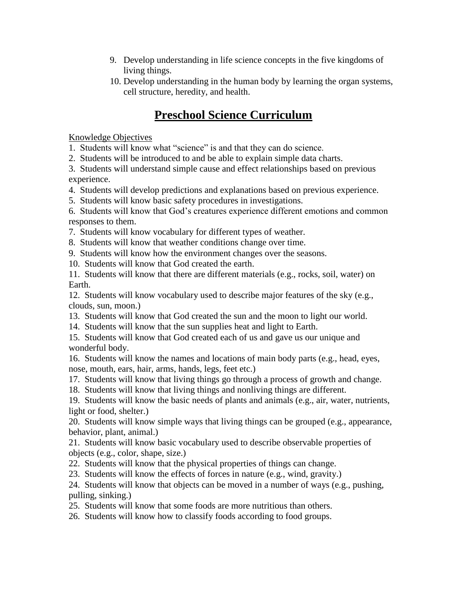- 9. Develop understanding in life science concepts in the five kingdoms of living things.
- 10. Develop understanding in the human body by learning the organ systems, cell structure, heredity, and health.

# **Preschool Science Curriculum**

Knowledge Objectives

1. Students will know what "science" is and that they can do science.

2. Students will be introduced to and be able to explain simple data charts.

3. Students will understand simple cause and effect relationships based on previous experience.

- 4. Students will develop predictions and explanations based on previous experience.
- 5. Students will know basic safety procedures in investigations.

6. Students will know that God's creatures experience different emotions and common responses to them.

- 7. Students will know vocabulary for different types of weather.
- 8. Students will know that weather conditions change over time.
- 9. Students will know how the environment changes over the seasons.
- 10. Students will know that God created the earth.

11. Students will know that there are different materials (e.g., rocks, soil, water) on Earth.

12. Students will know vocabulary used to describe major features of the sky (e.g., clouds, sun, moon.)

- 13. Students will know that God created the sun and the moon to light our world.
- 14. Students will know that the sun supplies heat and light to Earth.
- 15. Students will know that God created each of us and gave us our unique and wonderful body.

16. Students will know the names and locations of main body parts (e.g., head, eyes, nose, mouth, ears, hair, arms, hands, legs, feet etc.)

17. Students will know that living things go through a process of growth and change.

18. Students will know that living things and nonliving things are different.

19. Students will know the basic needs of plants and animals (e.g., air, water, nutrients, light or food, shelter.)

20. Students will know simple ways that living things can be grouped (e.g., appearance, behavior, plant, animal.)

21. Students will know basic vocabulary used to describe observable properties of objects (e.g., color, shape, size.)

- 22. Students will know that the physical properties of things can change.
- 23. Students will know the effects of forces in nature (e.g., wind, gravity.)

24. Students will know that objects can be moved in a number of ways (e.g., pushing, pulling, sinking.)

- 25. Students will know that some foods are more nutritious than others.
- 26. Students will know how to classify foods according to food groups.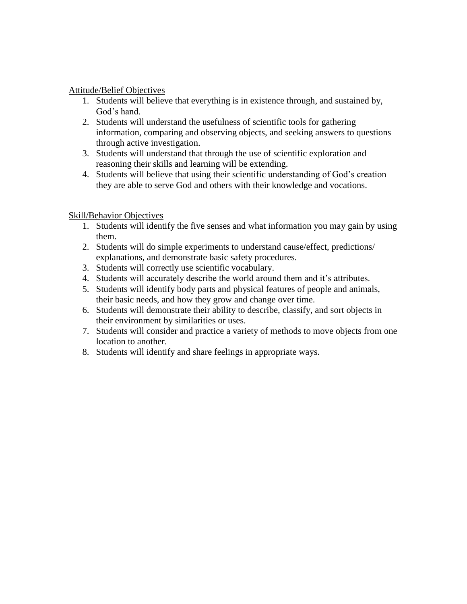### Attitude/Belief Objectives

- 1. Students will believe that everything is in existence through, and sustained by, God's hand.
- 2. Students will understand the usefulness of scientific tools for gathering information, comparing and observing objects, and seeking answers to questions through active investigation.
- 3. Students will understand that through the use of scientific exploration and reasoning their skills and learning will be extending.
- 4. Students will believe that using their scientific understanding of God's creation they are able to serve God and others with their knowledge and vocations.

## Skill/Behavior Objectives

- 1. Students will identify the five senses and what information you may gain by using them.
- 2. Students will do simple experiments to understand cause/effect, predictions/ explanations, and demonstrate basic safety procedures.
- 3. Students will correctly use scientific vocabulary.
- 4. Students will accurately describe the world around them and it's attributes.
- 5. Students will identify body parts and physical features of people and animals, their basic needs, and how they grow and change over time.
- 6. Students will demonstrate their ability to describe, classify, and sort objects in their environment by similarities or uses.
- 7. Students will consider and practice a variety of methods to move objects from one location to another.
- 8. Students will identify and share feelings in appropriate ways.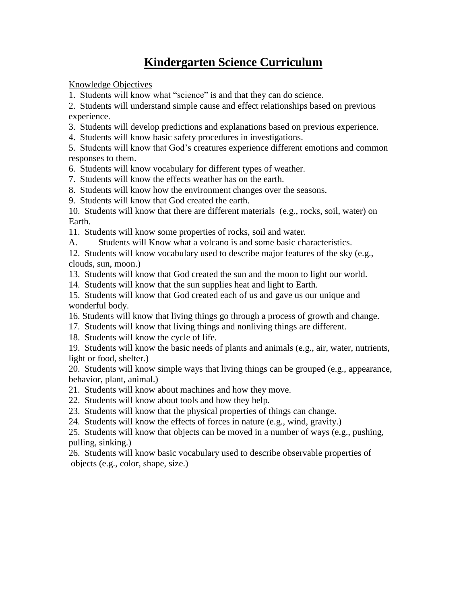# **Kindergarten Science Curriculum**

Knowledge Objectives

1. Students will know what "science" is and that they can do science.

2. Students will understand simple cause and effect relationships based on previous experience.

- 3. Students will develop predictions and explanations based on previous experience.
- 4. Students will know basic safety procedures in investigations.

5. Students will know that God's creatures experience different emotions and common responses to them.

- 6. Students will know vocabulary for different types of weather.
- 7. Students will know the effects weather has on the earth.
- 8. Students will know how the environment changes over the seasons.
- 9. Students will know that God created the earth.

10. Students will know that there are different materials (e.g., rocks, soil, water) on Earth.

11. Students will know some properties of rocks, soil and water.

A. Students will Know what a volcano is and some basic characteristics.

12. Students will know vocabulary used to describe major features of the sky (e.g., clouds, sun, moon.)

- 13. Students will know that God created the sun and the moon to light our world.
- 14. Students will know that the sun supplies heat and light to Earth.

15. Students will know that God created each of us and gave us our unique and wonderful body.

- 16. Students will know that living things go through a process of growth and change.
- 17. Students will know that living things and nonliving things are different.
- 18. Students will know the cycle of life.

19. Students will know the basic needs of plants and animals (e.g., air, water, nutrients, light or food, shelter.)

20. Students will know simple ways that living things can be grouped (e.g., appearance, behavior, plant, animal.)

- 21. Students will know about machines and how they move.
- 22. Students will know about tools and how they help.
- 23. Students will know that the physical properties of things can change.
- 24. Students will know the effects of forces in nature (e.g., wind, gravity.)

25. Students will know that objects can be moved in a number of ways (e.g., pushing, pulling, sinking.)

26. Students will know basic vocabulary used to describe observable properties of objects (e.g., color, shape, size.)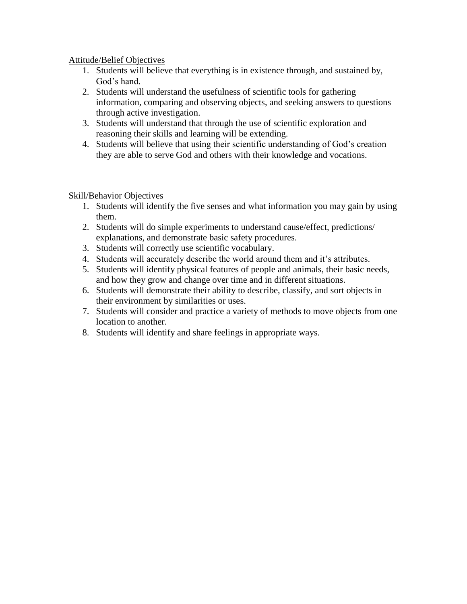### Attitude/Belief Objectives

- 1. Students will believe that everything is in existence through, and sustained by, God's hand.
- 2. Students will understand the usefulness of scientific tools for gathering information, comparing and observing objects, and seeking answers to questions through active investigation.
- 3. Students will understand that through the use of scientific exploration and reasoning their skills and learning will be extending.
- 4. Students will believe that using their scientific understanding of God's creation they are able to serve God and others with their knowledge and vocations.

### Skill/Behavior Objectives

- 1. Students will identify the five senses and what information you may gain by using them.
- 2. Students will do simple experiments to understand cause/effect, predictions/ explanations, and demonstrate basic safety procedures.
- 3. Students will correctly use scientific vocabulary.
- 4. Students will accurately describe the world around them and it's attributes.
- 5. Students will identify physical features of people and animals, their basic needs, and how they grow and change over time and in different situations.
- 6. Students will demonstrate their ability to describe, classify, and sort objects in their environment by similarities or uses.
- 7. Students will consider and practice a variety of methods to move objects from one location to another.
- 8. Students will identify and share feelings in appropriate ways.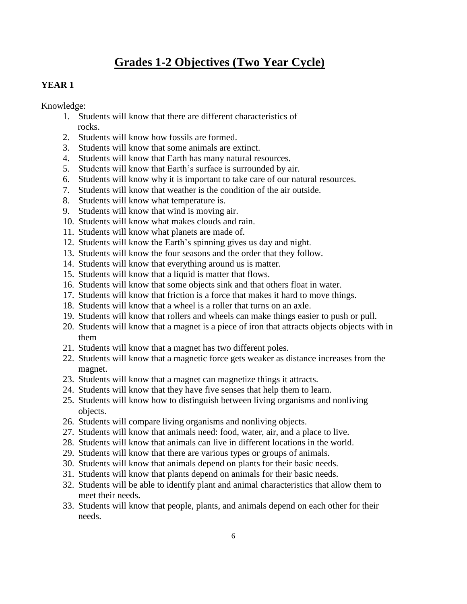# **Grades 1-2 Objectives (Two Year Cycle)**

### **YEAR 1**

Knowledge:

- 1. Students will know that there are different characteristics of rocks.
- 2. Students will know how fossils are formed.
- 3. Students will know that some animals are extinct.
- 4. Students will know that Earth has many natural resources.
- 5. Students will know that Earth's surface is surrounded by air.
- 6. Students will know why it is important to take care of our natural resources.
- 7. Students will know that weather is the condition of the air outside.
- 8. Students will know what temperature is.
- 9. Students will know that wind is moving air.
- 10. Students will know what makes clouds and rain.
- 11. Students will know what planets are made of.
- 12. Students will know the Earth's spinning gives us day and night.
- 13. Students will know the four seasons and the order that they follow.
- 14. Students will know that everything around us is matter.
- 15. Students will know that a liquid is matter that flows.
- 16. Students will know that some objects sink and that others float in water.
- 17. Students will know that friction is a force that makes it hard to move things.
- 18. Students will know that a wheel is a roller that turns on an axle.
- 19. Students will know that rollers and wheels can make things easier to push or pull.
- 20. Students will know that a magnet is a piece of iron that attracts objects objects with in them
- 21. Students will know that a magnet has two different poles.
- 22. Students will know that a magnetic force gets weaker as distance increases from the magnet.
- 23. Students will know that a magnet can magnetize things it attracts.
- 24. Students will know that they have five senses that help them to learn.
- 25. Students will know how to distinguish between living organisms and nonliving objects.
- 26. Students will compare living organisms and nonliving objects.
- 27. Students will know that animals need: food, water, air, and a place to live.
- 28. Students will know that animals can live in different locations in the world.
- 29. Students will know that there are various types or groups of animals.
- 30. Students will know that animals depend on plants for their basic needs.
- 31. Students will know that plants depend on animals for their basic needs.
- 32. Students will be able to identify plant and animal characteristics that allow them to meet their needs.
- 33. Students will know that people, plants, and animals depend on each other for their needs.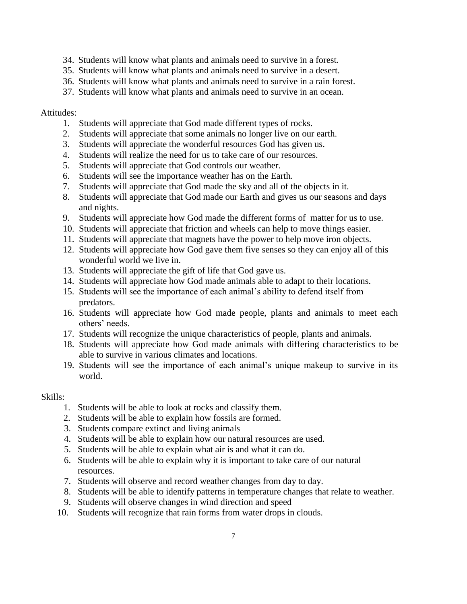- 34. Students will know what plants and animals need to survive in a forest.
- 35. Students will know what plants and animals need to survive in a desert.
- 36. Students will know what plants and animals need to survive in a rain forest.
- 37. Students will know what plants and animals need to survive in an ocean.

### Attitudes:

- 1. Students will appreciate that God made different types of rocks.
- 2. Students will appreciate that some animals no longer live on our earth.
- 3. Students will appreciate the wonderful resources God has given us.
- 4. Students will realize the need for us to take care of our resources.
- 5. Students will appreciate that God controls our weather.
- 6. Students will see the importance weather has on the Earth.
- 7. Students will appreciate that God made the sky and all of the objects in it.
- 8. Students will appreciate that God made our Earth and gives us our seasons and days and nights.
- 9. Students will appreciate how God made the different forms of matter for us to use.
- 10. Students will appreciate that friction and wheels can help to move things easier.
- 11. Students will appreciate that magnets have the power to help move iron objects.
- 12. Students will appreciate how God gave them five senses so they can enjoy all of this wonderful world we live in.
- 13. Students will appreciate the gift of life that God gave us.
- 14. Students will appreciate how God made animals able to adapt to their locations.
- 15. Students will see the importance of each animal's ability to defend itself from predators.
- 16. Students will appreciate how God made people, plants and animals to meet each others' needs.
- 17. Students will recognize the unique characteristics of people, plants and animals.
- 18. Students will appreciate how God made animals with differing characteristics to be able to survive in various climates and locations.
- 19. Students will see the importance of each animal's unique makeup to survive in its world.

### Skills:

- 1. Students will be able to look at rocks and classify them.
- 2. Students will be able to explain how fossils are formed.
- 3. Students compare extinct and living animals
- 4. Students will be able to explain how our natural resources are used.
- 5. Students will be able to explain what air is and what it can do.
- 6. Students will be able to explain why it is important to take care of our natural resources.
- 7. Students will observe and record weather changes from day to day.
- 8. Students will be able to identify patterns in temperature changes that relate to weather.
- 9. Students will observe changes in wind direction and speed
- 10. Students will recognize that rain forms from water drops in clouds.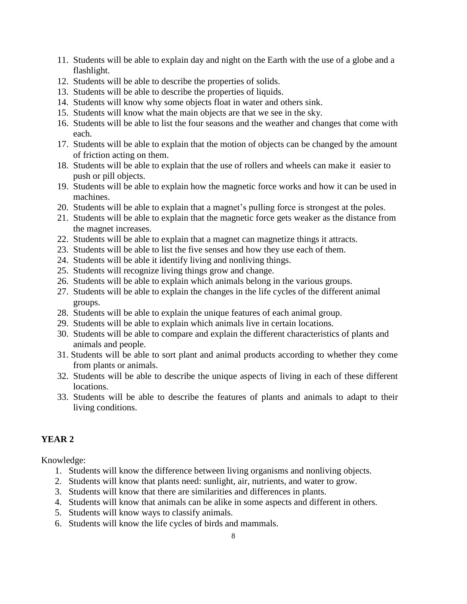- 11. Students will be able to explain day and night on the Earth with the use of a globe and a flashlight.
- 12. Students will be able to describe the properties of solids.
- 13. Students will be able to describe the properties of liquids.
- 14. Students will know why some objects float in water and others sink.
- 15. Students will know what the main objects are that we see in the sky.
- 16. Students will be able to list the four seasons and the weather and changes that come with each.
- 17. Students will be able to explain that the motion of objects can be changed by the amount of friction acting on them.
- 18. Students will be able to explain that the use of rollers and wheels can make it easier to push or pill objects.
- 19. Students will be able to explain how the magnetic force works and how it can be used in machines.
- 20. Students will be able to explain that a magnet's pulling force is strongest at the poles.
- 21. Students will be able to explain that the magnetic force gets weaker as the distance from the magnet increases.
- 22. Students will be able to explain that a magnet can magnetize things it attracts.
- 23. Students will be able to list the five senses and how they use each of them.
- 24. Students will be able it identify living and nonliving things.
- 25. Students will recognize living things grow and change.
- 26. Students will be able to explain which animals belong in the various groups.
- 27. Students will be able to explain the changes in the life cycles of the different animal groups.
- 28. Students will be able to explain the unique features of each animal group.
- 29. Students will be able to explain which animals live in certain locations.
- 30. Students will be able to compare and explain the different characteristics of plants and animals and people.
- 31. Students will be able to sort plant and animal products according to whether they come from plants or animals.
- 32. Students will be able to describe the unique aspects of living in each of these different locations.
- 33. Students will be able to describe the features of plants and animals to adapt to their living conditions.

## **YEAR 2**

Knowledge:

- 1. Students will know the difference between living organisms and nonliving objects.
- 2. Students will know that plants need: sunlight, air, nutrients, and water to grow.
- 3. Students will know that there are similarities and differences in plants.
- 4. Students will know that animals can be alike in some aspects and different in others.
- 5. Students will know ways to classify animals.
- 6. Students will know the life cycles of birds and mammals.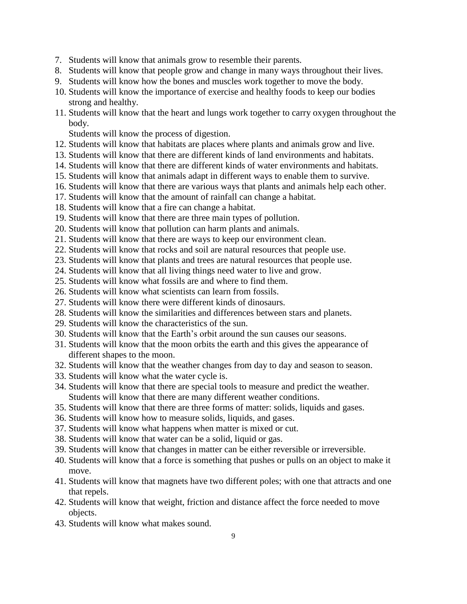- 7. Students will know that animals grow to resemble their parents.
- 8. Students will know that people grow and change in many ways throughout their lives.
- 9. Students will know how the bones and muscles work together to move the body.
- 10. Students will know the importance of exercise and healthy foods to keep our bodies strong and healthy.
- 11. Students will know that the heart and lungs work together to carry oxygen throughout the body.

Students will know the process of digestion.

- 12. Students will know that habitats are places where plants and animals grow and live.
- 13. Students will know that there are different kinds of land environments and habitats.
- 14. Students will know that there are different kinds of water environments and habitats.
- 15. Students will know that animals adapt in different ways to enable them to survive.
- 16. Students will know that there are various ways that plants and animals help each other.
- 17. Students will know that the amount of rainfall can change a habitat.
- 18. Students will know that a fire can change a habitat.
- 19. Students will know that there are three main types of pollution.
- 20. Students will know that pollution can harm plants and animals.
- 21. Students will know that there are ways to keep our environment clean.
- 22. Students will know that rocks and soil are natural resources that people use.
- 23. Students will know that plants and trees are natural resources that people use.
- 24. Students will know that all living things need water to live and grow.
- 25. Students will know what fossils are and where to find them.
- 26. Students will know what scientists can learn from fossils.
- 27. Students will know there were different kinds of dinosaurs.
- 28. Students will know the similarities and differences between stars and planets.
- 29. Students will know the characteristics of the sun.
- 30. Students will know that the Earth's orbit around the sun causes our seasons.
- 31. Students will know that the moon orbits the earth and this gives the appearance of different shapes to the moon.
- 32. Students will know that the weather changes from day to day and season to season.
- 33. Students will know what the water cycle is.
- 34. Students will know that there are special tools to measure and predict the weather. Students will know that there are many different weather conditions.
- 35. Students will know that there are three forms of matter: solids, liquids and gases.
- 36. Students will know how to measure solids, liquids, and gases.
- 37. Students will know what happens when matter is mixed or cut.
- 38. Students will know that water can be a solid, liquid or gas.
- 39. Students will know that changes in matter can be either reversible or irreversible.
- 40. Students will know that a force is something that pushes or pulls on an object to make it move.
- 41. Students will know that magnets have two different poles; with one that attracts and one that repels.
- 42. Students will know that weight, friction and distance affect the force needed to move objects.
- 43. Students will know what makes sound.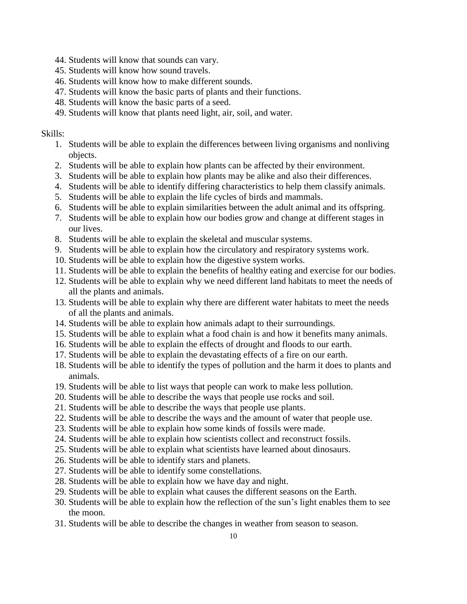- 44. Students will know that sounds can vary.
- 45. Students will know how sound travels.
- 46. Students will know how to make different sounds.
- 47. Students will know the basic parts of plants and their functions.
- 48. Students will know the basic parts of a seed.
- 49. Students will know that plants need light, air, soil, and water.

### Skills:

- 1. Students will be able to explain the differences between living organisms and nonliving objects.
- 2. Students will be able to explain how plants can be affected by their environment.
- 3. Students will be able to explain how plants may be alike and also their differences.
- 4. Students will be able to identify differing characteristics to help them classify animals.
- 5. Students will be able to explain the life cycles of birds and mammals.
- 6. Students will be able to explain similarities between the adult animal and its offspring.
- 7. Students will be able to explain how our bodies grow and change at different stages in our lives.
- 8. Students will be able to explain the skeletal and muscular systems.
- 9. Students will be able to explain how the circulatory and respiratory systems work.
- 10. Students will be able to explain how the digestive system works.
- 11. Students will be able to explain the benefits of healthy eating and exercise for our bodies.
- 12. Students will be able to explain why we need different land habitats to meet the needs of all the plants and animals.
- 13. Students will be able to explain why there are different water habitats to meet the needs of all the plants and animals.
- 14. Students will be able to explain how animals adapt to their surroundings.
- 15. Students will be able to explain what a food chain is and how it benefits many animals.
- 16. Students will be able to explain the effects of drought and floods to our earth.
- 17. Students will be able to explain the devastating effects of a fire on our earth.
- 18. Students will be able to identify the types of pollution and the harm it does to plants and animals.
- 19. Students will be able to list ways that people can work to make less pollution.
- 20. Students will be able to describe the ways that people use rocks and soil.
- 21. Students will be able to describe the ways that people use plants.
- 22. Students will be able to describe the ways and the amount of water that people use.
- 23. Students will be able to explain how some kinds of fossils were made.
- 24. Students will be able to explain how scientists collect and reconstruct fossils.
- 25. Students will be able to explain what scientists have learned about dinosaurs.
- 26. Students will be able to identify stars and planets.
- 27. Students will be able to identify some constellations.
- 28. Students will be able to explain how we have day and night.
- 29. Students will be able to explain what causes the different seasons on the Earth.
- 30. Students will be able to explain how the reflection of the sun's light enables them to see the moon.
- 31. Students will be able to describe the changes in weather from season to season.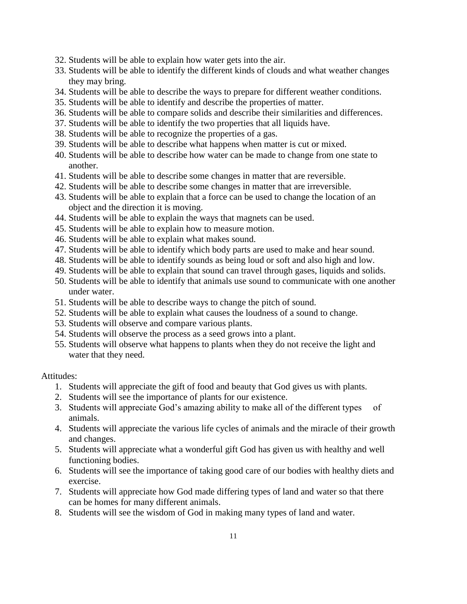- 32. Students will be able to explain how water gets into the air.
- 33. Students will be able to identify the different kinds of clouds and what weather changes they may bring.
- 34. Students will be able to describe the ways to prepare for different weather conditions.
- 35. Students will be able to identify and describe the properties of matter.
- 36. Students will be able to compare solids and describe their similarities and differences.
- 37. Students will be able to identify the two properties that all liquids have.
- 38. Students will be able to recognize the properties of a gas.
- 39. Students will be able to describe what happens when matter is cut or mixed.
- 40. Students will be able to describe how water can be made to change from one state to another.
- 41. Students will be able to describe some changes in matter that are reversible.
- 42. Students will be able to describe some changes in matter that are irreversible.
- 43. Students will be able to explain that a force can be used to change the location of an object and the direction it is moving.
- 44. Students will be able to explain the ways that magnets can be used.
- 45. Students will be able to explain how to measure motion.
- 46. Students will be able to explain what makes sound.
- 47. Students will be able to identify which body parts are used to make and hear sound.
- 48. Students will be able to identify sounds as being loud or soft and also high and low.
- 49. Students will be able to explain that sound can travel through gases, liquids and solids.
- 50. Students will be able to identify that animals use sound to communicate with one another under water.
- 51. Students will be able to describe ways to change the pitch of sound.
- 52. Students will be able to explain what causes the loudness of a sound to change.
- 53. Students will observe and compare various plants.
- 54. Students will observe the process as a seed grows into a plant.
- 55. Students will observe what happens to plants when they do not receive the light and water that they need.

### Attitudes:

- 1. Students will appreciate the gift of food and beauty that God gives us with plants.
- 2. Students will see the importance of plants for our existence.
- 3. Students will appreciate God's amazing ability to make all of the different types of animals.
- 4. Students will appreciate the various life cycles of animals and the miracle of their growth and changes.
- 5. Students will appreciate what a wonderful gift God has given us with healthy and well functioning bodies.
- 6. Students will see the importance of taking good care of our bodies with healthy diets and exercise.
- 7. Students will appreciate how God made differing types of land and water so that there can be homes for many different animals.
- 8. Students will see the wisdom of God in making many types of land and water.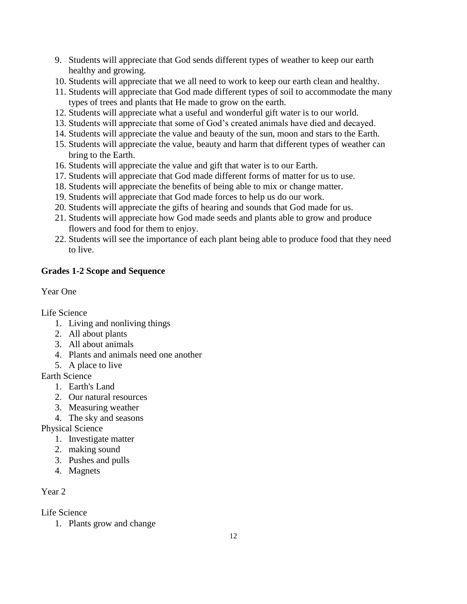- 9. Students will appreciate that God sends different types of weather to keep our earth healthy and growing.
- 10. Students will appreciate that we all need to work to keep our earth clean and healthy.
- 11. Students will appreciate that God made different types of soil to accommodate the many types of trees and plants that He made to grow on the earth.
- 12. Students will appreciate what a useful and wonderful gift water is to our world.
- 13. Students will appreciate that some of God's created animals have died and decayed.
- 14. Students will appreciate the value and beauty of the sun, moon and stars to the Earth.
- 15. Students will appreciate the value, beauty and harm that different types of weather can bring to the Earth.
- 16. Students will appreciate the value and gift that water is to our Earth.
- 17. Students will appreciate that God made different forms of matter for us to use.
- 18. Students will appreciate the benefits of being able to mix or change matter.
- 19. Students will appreciate that God made forces to help us do our work.
- 20. Students will appreciate the gifts of hearing and sounds that God made for us.
- 21. Students will appreciate how God made seeds and plants able to grow and produce flowers and food for them to enjoy.
- 22. Students will see the importance of each plant being able to produce food that they need to live.

## **Grades 1-2 Scope and Sequence**

### Year One

Life Science

- 1. Living and nonliving things
- 2. All about plants
- 3. All about animals
- 4. Plants and animals need one another
- 5. A place to live

Earth Science

- 1. Earth's Land
- 2. Our natural resources
- 3. Measuring weather
- 4. The sky and seasons

Physical Science

- 1. Investigate matter
- 2. making sound
- 3. Pushes and pulls
- 4. Magnets

## Year 2

Life Science

1. Plants grow and change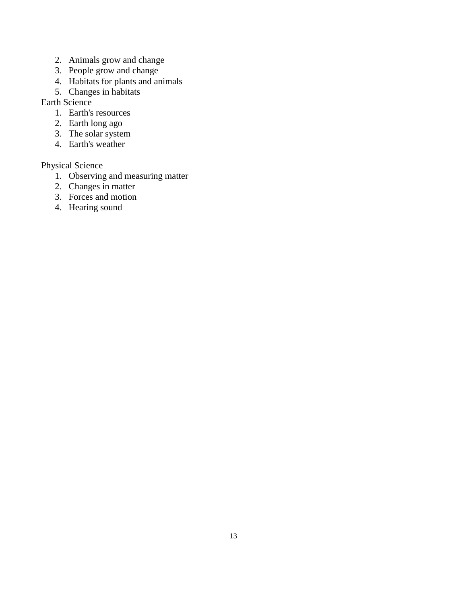- 2. Animals grow and change
- 3. People grow and change
- 4. Habitats for plants and animals
- 5. Changes in habitats

Earth Science

- 1. Earth's resources
- 2. Earth long ago
- 3. The solar system
- 4. Earth's weather

# Physical Science

- 1. Observing and measuring matter
- 2. Changes in matter
- 3. Forces and motion
- 4. Hearing sound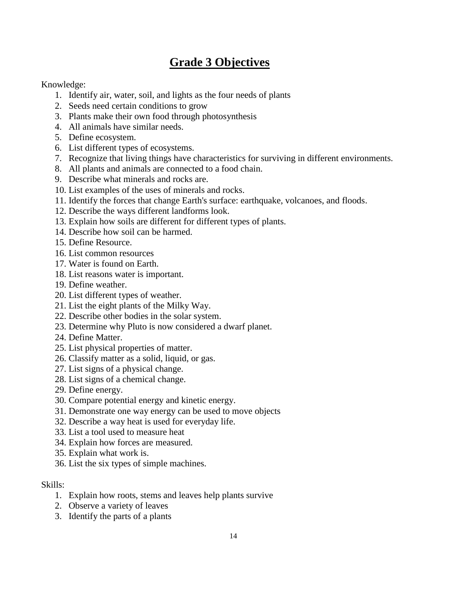# **Grade 3 Objectives**

### Knowledge:

- 1. Identify air, water, soil, and lights as the four needs of plants
- 2. Seeds need certain conditions to grow
- 3. Plants make their own food through photosynthesis
- 4. All animals have similar needs.
- 5. Define ecosystem.
- 6. List different types of ecosystems.
- 7. Recognize that living things have characteristics for surviving in different environments.
- 8. All plants and animals are connected to a food chain.
- 9. Describe what minerals and rocks are.
- 10. List examples of the uses of minerals and rocks.
- 11. Identify the forces that change Earth's surface: earthquake, volcanoes, and floods.
- 12. Describe the ways different landforms look.
- 13. Explain how soils are different for different types of plants.
- 14. Describe how soil can be harmed.
- 15. Define Resource.
- 16. List common resources
- 17. Water is found on Earth.
- 18. List reasons water is important.
- 19. Define weather.
- 20. List different types of weather.
- 21. List the eight plants of the Milky Way.
- 22. Describe other bodies in the solar system.
- 23. Determine why Pluto is now considered a dwarf planet.
- 24. Define Matter.
- 25. List physical properties of matter.
- 26. Classify matter as a solid, liquid, or gas.
- 27. List signs of a physical change.
- 28. List signs of a chemical change.
- 29. Define energy.
- 30. Compare potential energy and kinetic energy.
- 31. Demonstrate one way energy can be used to move objects
- 32. Describe a way heat is used for everyday life.
- 33. List a tool used to measure heat
- 34. Explain how forces are measured.
- 35. Explain what work is.
- 36. List the six types of simple machines.

### Skills:

- 1. Explain how roots, stems and leaves help plants survive
- 2. Observe a variety of leaves
- 3. Identify the parts of a plants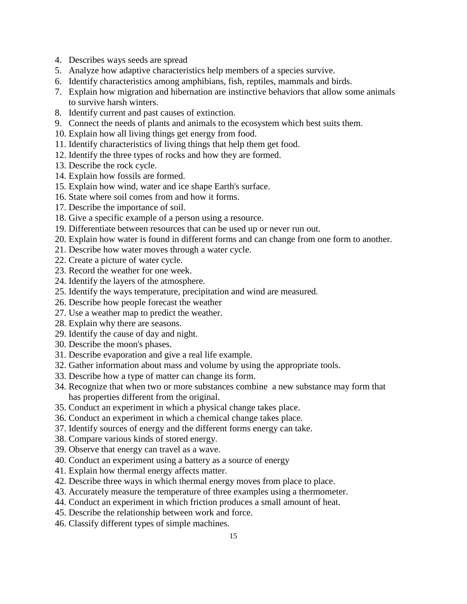- 4. Describes ways seeds are spread
- 5. Analyze how adaptive characteristics help members of a species survive.
- 6. Identify characteristics among amphibians, fish, reptiles, mammals and birds.
- 7. Explain how migration and hibernation are instinctive behaviors that allow some animals to survive harsh winters.
- 8. Identify current and past causes of extinction.
- 9. Connect the needs of plants and animals to the ecosystem which best suits them.
- 10. Explain how all living things get energy from food.
- 11. Identify characteristics of living things that help them get food.
- 12. Identify the three types of rocks and how they are formed.
- 13. Describe the rock cycle.
- 14. Explain how fossils are formed.
- 15. Explain how wind, water and ice shape Earth's surface.
- 16. State where soil comes from and how it forms.
- 17. Describe the importance of soil.
- 18. Give a specific example of a person using a resource.
- 19. Differentiate between resources that can be used up or never run out.
- 20. Explain how water is found in different forms and can change from one form to another.
- 21. Describe how water moves through a water cycle.
- 22. Create a picture of water cycle.
- 23. Record the weather for one week.
- 24. Identify the layers of the atmosphere.
- 25. Identify the ways temperature, precipitation and wind are measured.
- 26. Describe how people forecast the weather
- 27. Use a weather map to predict the weather.
- 28. Explain why there are seasons.
- 29. Identify the cause of day and night.
- 30. Describe the moon's phases.
- 31. Describe evaporation and give a real life example.
- 32. Gather information about mass and volume by using the appropriate tools.
- 33. Describe how a type of matter can change its form.
- 34. Recognize that when two or more substances combine a new substance may form that has properties different from the original.
- 35. Conduct an experiment in which a physical change takes place.
- 36. Conduct an experiment in which a chemical change takes place.
- 37. Identify sources of energy and the different forms energy can take.
- 38. Compare various kinds of stored energy.
- 39. Observe that energy can travel as a wave.
- 40. Conduct an experiment using a battery as a source of energy
- 41. Explain how thermal energy affects matter.
- 42. Describe three ways in which thermal energy moves from place to place.
- 43. Accurately measure the temperature of three examples using a thermometer.
- 44. Conduct an experiment in which friction produces a small amount of heat.
- 45. Describe the relationship between work and force.
- 46. Classify different types of simple machines.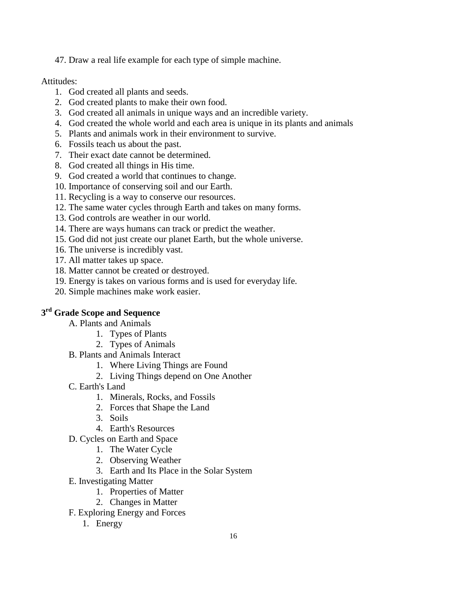47. Draw a real life example for each type of simple machine.

### Attitudes:

- 1. God created all plants and seeds.
- 2. God created plants to make their own food.
- 3. God created all animals in unique ways and an incredible variety.
- 4. God created the whole world and each area is unique in its plants and animals
- 5. Plants and animals work in their environment to survive.
- 6. Fossils teach us about the past.
- 7. Their exact date cannot be determined.
- 8. God created all things in His time.
- 9. God created a world that continues to change.
- 10. Importance of conserving soil and our Earth.
- 11. Recycling is a way to conserve our resources.
- 12. The same water cycles through Earth and takes on many forms.
- 13. God controls are weather in our world.
- 14. There are ways humans can track or predict the weather.
- 15. God did not just create our planet Earth, but the whole universe.
- 16. The universe is incredibly vast.
- 17. All matter takes up space.
- 18. Matter cannot be created or destroyed.
- 19. Energy is takes on various forms and is used for everyday life.
- 20. Simple machines make work easier.

## **3 rd Grade Scope and Sequence**

- A. Plants and Animals
	- 1. Types of Plants
	- 2. Types of Animals
- B. Plants and Animals Interact
	- 1. Where Living Things are Found
	- 2. Living Things depend on One Another
- C. Earth's Land
	- 1. Minerals, Rocks, and Fossils
	- 2. Forces that Shape the Land
	- 3. Soils
	- 4. Earth's Resources
- D. Cycles on Earth and Space
	- 1. The Water Cycle
	- 2. Observing Weather
	- 3. Earth and Its Place in the Solar System
- E. Investigating Matter
	- 1. Properties of Matter
	- 2. Changes in Matter
- F. Exploring Energy and Forces
	- 1. Energy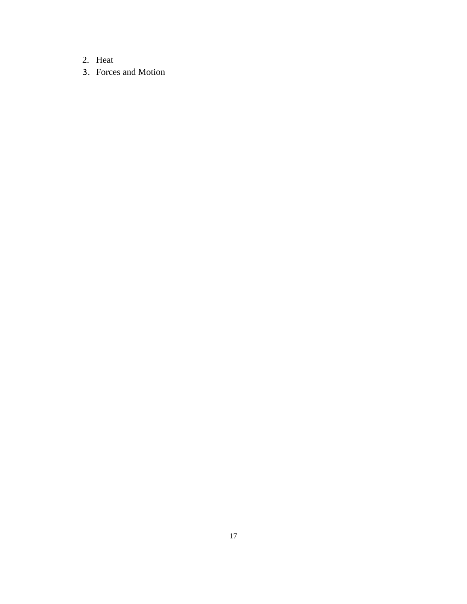- 2. Heat
- 3. Forces and Motion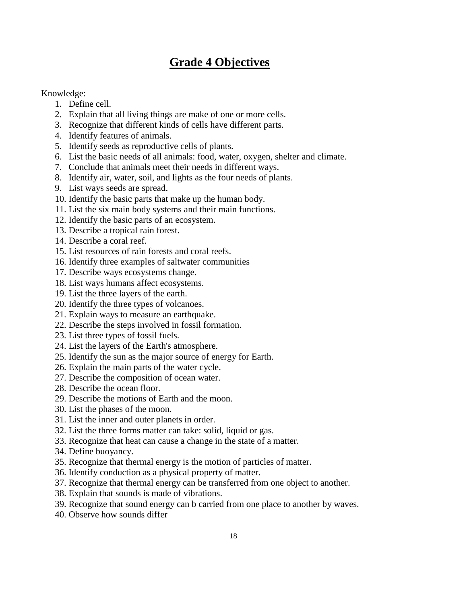# **Grade 4 Objectives**

### Knowledge:

- 1. Define cell.
- 2. Explain that all living things are make of one or more cells.
- 3. Recognize that different kinds of cells have different parts.
- 4. Identify features of animals.
- 5. Identify seeds as reproductive cells of plants.
- 6. List the basic needs of all animals: food, water, oxygen, shelter and climate.
- 7. Conclude that animals meet their needs in different ways.
- 8. Identify air, water, soil, and lights as the four needs of plants.
- 9. List ways seeds are spread.
- 10. Identify the basic parts that make up the human body.
- 11. List the six main body systems and their main functions.
- 12. Identify the basic parts of an ecosystem.
- 13. Describe a tropical rain forest.
- 14. Describe a coral reef.
- 15. List resources of rain forests and coral reefs.
- 16. Identify three examples of saltwater communities
- 17. Describe ways ecosystems change.
- 18. List ways humans affect ecosystems.
- 19. List the three layers of the earth.
- 20. Identify the three types of volcanoes.
- 21. Explain ways to measure an earthquake.
- 22. Describe the steps involved in fossil formation.
- 23. List three types of fossil fuels.
- 24. List the layers of the Earth's atmosphere.
- 25. Identify the sun as the major source of energy for Earth.
- 26. Explain the main parts of the water cycle.
- 27. Describe the composition of ocean water.
- 28. Describe the ocean floor.
- 29. Describe the motions of Earth and the moon.
- 30. List the phases of the moon.
- 31. List the inner and outer planets in order.
- 32. List the three forms matter can take: solid, liquid or gas.
- 33. Recognize that heat can cause a change in the state of a matter.
- 34. Define buoyancy.
- 35. Recognize that thermal energy is the motion of particles of matter.
- 36. Identify conduction as a physical property of matter.
- 37. Recognize that thermal energy can be transferred from one object to another.
- 38. Explain that sounds is made of vibrations.
- 39. Recognize that sound energy can b carried from one place to another by waves.
- 40. Observe how sounds differ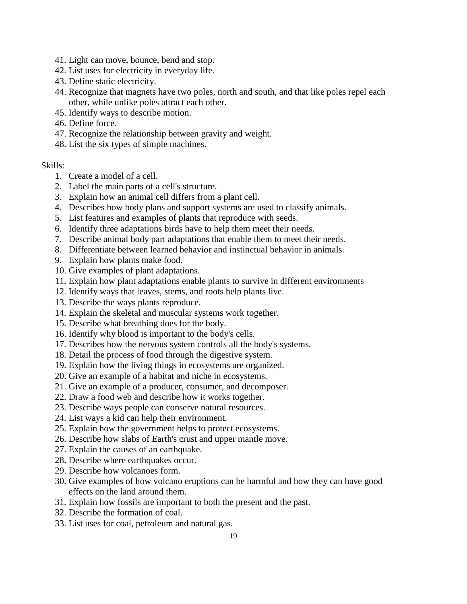- 41. Light can move, bounce, bend and stop.
- 42. List uses for electricity in everyday life.
- 43. Define static electricity.
- 44. Recognize that magnets have two poles, north and south, and that like poles repel each other, while unlike poles attract each other.
- 45. Identify ways to describe motion.
- 46. Define force.
- 47. Recognize the relationship between gravity and weight.
- 48. List the six types of simple machines.

#### Skills:

- 1. Create a model of a cell.
- 2. Label the main parts of a cell's structure.
- 3. Explain how an animal cell differs from a plant cell.
- 4. Describes how body plans and support systems are used to classify animals.
- 5. List features and examples of plants that reproduce with seeds.
- 6. Identify three adaptations birds have to help them meet their needs.
- 7. Describe animal body part adaptations that enable them to meet their needs.
- 8. Differentiate between learned behavior and instinctual behavior in animals.
- 9. Explain how plants make food.
- 10. Give examples of plant adaptations.
- 11. Explain how plant adaptations enable plants to survive in different environments
- 12. Identify ways that leaves, stems, and roots help plants live.
- 13. Describe the ways plants reproduce.
- 14. Explain the skeletal and muscular systems work together.
- 15. Describe what breathing does for the body.
- 16. Identify why blood is important to the body's cells.
- 17. Describes how the nervous system controls all the body's systems.
- 18. Detail the process of food through the digestive system.
- 19. Explain how the living things in ecosystems are organized.
- 20. Give an example of a habitat and niche in ecosystems.
- 21. Give an example of a producer, consumer, and decomposer.
- 22. Draw a food web and describe how it works together.
- 23. Describe ways people can conserve natural resources.
- 24. List ways a kid can help their environment.
- 25. Explain how the government helps to protect ecosystems.
- 26. Describe how slabs of Earth's crust and upper mantle move.
- 27. Explain the causes of an earthquake.
- 28. Describe where earthquakes occur.
- 29. Describe how volcanoes form.
- 30. Give examples of how volcano eruptions can be harmful and how they can have good effects on the land around them.
- 31. Explain how fossils are important to both the present and the past.
- 32. Describe the formation of coal.
- 33. List uses for coal, petroleum and natural gas.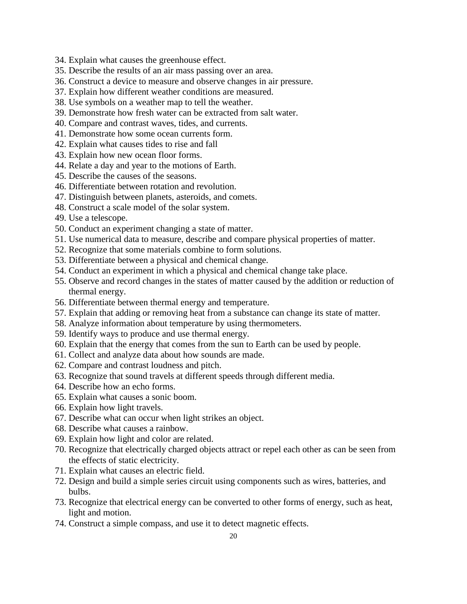- 34. Explain what causes the greenhouse effect.
- 35. Describe the results of an air mass passing over an area.
- 36. Construct a device to measure and observe changes in air pressure.
- 37. Explain how different weather conditions are measured.
- 38. Use symbols on a weather map to tell the weather.
- 39. Demonstrate how fresh water can be extracted from salt water.
- 40. Compare and contrast waves, tides, and currents.
- 41. Demonstrate how some ocean currents form.
- 42. Explain what causes tides to rise and fall
- 43. Explain how new ocean floor forms.
- 44. Relate a day and year to the motions of Earth.
- 45. Describe the causes of the seasons.
- 46. Differentiate between rotation and revolution.
- 47. Distinguish between planets, asteroids, and comets.
- 48. Construct a scale model of the solar system.
- 49. Use a telescope.
- 50. Conduct an experiment changing a state of matter.
- 51. Use numerical data to measure, describe and compare physical properties of matter.
- 52. Recognize that some materials combine to form solutions.
- 53. Differentiate between a physical and chemical change.
- 54. Conduct an experiment in which a physical and chemical change take place.
- 55. Observe and record changes in the states of matter caused by the addition or reduction of thermal energy.
- 56. Differentiate between thermal energy and temperature.
- 57. Explain that adding or removing heat from a substance can change its state of matter.
- 58. Analyze information about temperature by using thermometers.
- 59. Identify ways to produce and use thermal energy.
- 60. Explain that the energy that comes from the sun to Earth can be used by people.
- 61. Collect and analyze data about how sounds are made.
- 62. Compare and contrast loudness and pitch.
- 63. Recognize that sound travels at different speeds through different media.
- 64. Describe how an echo forms.
- 65. Explain what causes a sonic boom.
- 66. Explain how light travels.
- 67. Describe what can occur when light strikes an object.
- 68. Describe what causes a rainbow.
- 69. Explain how light and color are related.
- 70. Recognize that electrically charged objects attract or repel each other as can be seen from the effects of static electricity.
- 71. Explain what causes an electric field.
- 72. Design and build a simple series circuit using components such as wires, batteries, and bulbs.
- 73. Recognize that electrical energy can be converted to other forms of energy, such as heat, light and motion.
- 74. Construct a simple compass, and use it to detect magnetic effects.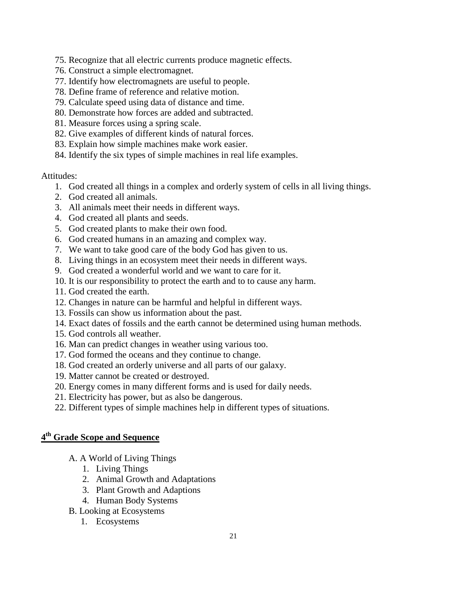- 75. Recognize that all electric currents produce magnetic effects.
- 76. Construct a simple electromagnet.
- 77. Identify how electromagnets are useful to people.
- 78. Define frame of reference and relative motion.
- 79. Calculate speed using data of distance and time.
- 80. Demonstrate how forces are added and subtracted.
- 81. Measure forces using a spring scale.
- 82. Give examples of different kinds of natural forces.
- 83. Explain how simple machines make work easier.
- 84. Identify the six types of simple machines in real life examples.

### Attitudes:

- 1. God created all things in a complex and orderly system of cells in all living things.
- 2. God created all animals.
- 3. All animals meet their needs in different ways.
- 4. God created all plants and seeds.
- 5. God created plants to make their own food.
- 6. God created humans in an amazing and complex way.
- 7. We want to take good care of the body God has given to us.
- 8. Living things in an ecosystem meet their needs in different ways.
- 9. God created a wonderful world and we want to care for it.
- 10. It is our responsibility to protect the earth and to to cause any harm.
- 11. God created the earth.
- 12. Changes in nature can be harmful and helpful in different ways.
- 13. Fossils can show us information about the past.
- 14. Exact dates of fossils and the earth cannot be determined using human methods.
- 15. God controls all weather.
- 16. Man can predict changes in weather using various too.
- 17. God formed the oceans and they continue to change.
- 18. God created an orderly universe and all parts of our galaxy.
- 19. Matter cannot be created or destroyed.
- 20. Energy comes in many different forms and is used for daily needs.
- 21. Electricity has power, but as also be dangerous.
- 22. Different types of simple machines help in different types of situations.

# **4 th Grade Scope and Sequence**

- A. A World of Living Things
	- 1. Living Things
	- 2. Animal Growth and Adaptations
	- 3. Plant Growth and Adaptions
	- 4. Human Body Systems
- B. Looking at Ecosystems
	- 1. Ecosystems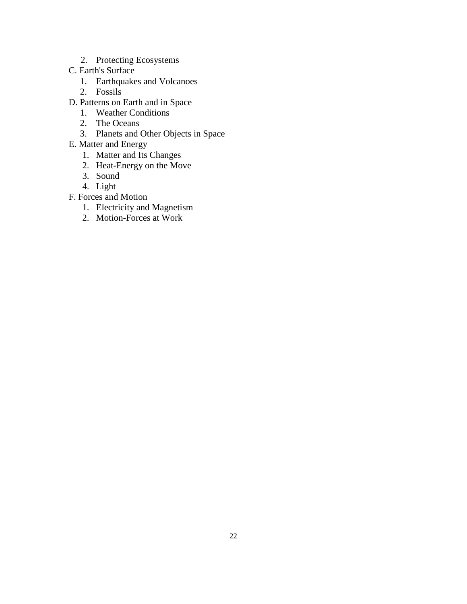- 2. Protecting Ecosystems
- C. Earth's Surface
	- 1. Earthquakes and Volcanoes
	- 2. Fossils
- D. Patterns on Earth and in Space
	- 1. Weather Conditions
	- 2. The Oceans
	- 3. Planets and Other Objects in Space
- E. Matter and Energy
	- 1. Matter and Its Changes
	- 2. Heat-Energy on the Move
	- 3. Sound
	- 4. Light
- F. Forces and Motion
	- 1. Electricity and Magnetism
	- 2. Motion-Forces at Work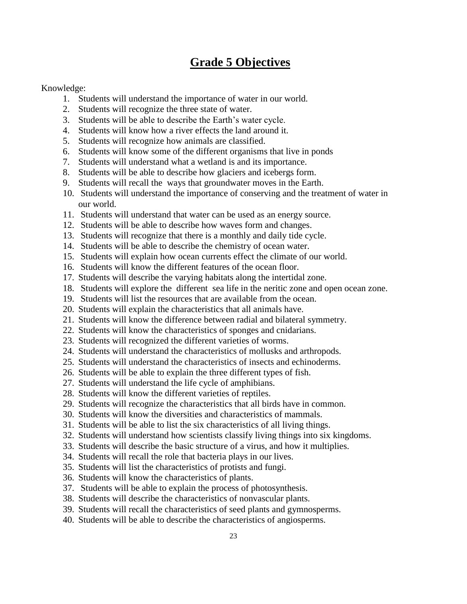# **Grade 5 Objectives**

### Knowledge:

- 1. Students will understand the importance of water in our world.
- 2. Students will recognize the three state of water.
- 3. Students will be able to describe the Earth's water cycle.
- 4. Students will know how a river effects the land around it.
- 5. Students will recognize how animals are classified.
- 6. Students will know some of the different organisms that live in ponds
- 7. Students will understand what a wetland is and its importance.
- 8. Students will be able to describe how glaciers and icebergs form.
- 9. Students will recall the ways that groundwater moves in the Earth.
- 10. Students will understand the importance of conserving and the treatment of water in our world.
- 11. Students will understand that water can be used as an energy source.
- 12. Students will be able to describe how waves form and changes.
- 13. Students will recognize that there is a monthly and daily tide cycle.
- 14. Students will be able to describe the chemistry of ocean water.
- 15. Students will explain how ocean currents effect the climate of our world.
- 16. Students will know the different features of the ocean floor.
- 17. Students will describe the varying habitats along the intertidal zone.
- 18. Students will explore the different sea life in the neritic zone and open ocean zone.
- 19. Students will list the resources that are available from the ocean.
- 20. Students will explain the characteristics that all animals have.
- 21. Students will know the difference between radial and bilateral symmetry.
- 22. Students will know the characteristics of sponges and cnidarians.
- 23. Students will recognized the different varieties of worms.
- 24. Students will understand the characteristics of mollusks and arthropods.
- 25. Students will understand the characteristics of insects and echinoderms.
- 26. Students will be able to explain the three different types of fish.
- 27. Students will understand the life cycle of amphibians.
- 28. Students will know the different varieties of reptiles.
- 29. Students will recognize the characteristics that all birds have in common.
- 30. Students will know the diversities and characteristics of mammals.
- 31. Students will be able to list the six characteristics of all living things.
- 32. Students will understand how scientists classify living things into six kingdoms.
- 33. Students will describe the basic structure of a virus, and how it multiplies.
- 34. Students will recall the role that bacteria plays in our lives.
- 35. Students will list the characteristics of protists and fungi.
- 36. Students will know the characteristics of plants.
- 37. Students will be able to explain the process of photosynthesis.
- 38. Students will describe the characteristics of nonvascular plants.
- 39. Students will recall the characteristics of seed plants and gymnosperms.
- 40. Students will be able to describe the characteristics of angiosperms.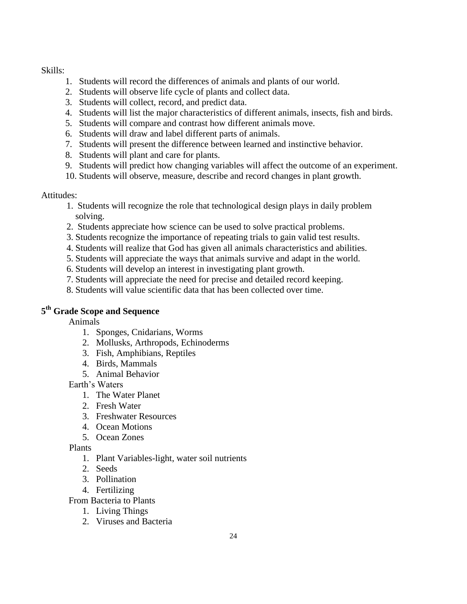Skills:

- 1. Students will record the differences of animals and plants of our world.
- 2. Students will observe life cycle of plants and collect data.
- 3. Students will collect, record, and predict data.
- 4. Students will list the major characteristics of different animals, insects, fish and birds.
- 5. Students will compare and contrast how different animals move.
- 6. Students will draw and label different parts of animals.
- 7. Students will present the difference between learned and instinctive behavior.
- 8. Students will plant and care for plants.
- 9. Students will predict how changing variables will affect the outcome of an experiment.
- 10. Students will observe, measure, describe and record changes in plant growth.

### Attitudes:

- 1. Students will recognize the role that technological design plays in daily problem solving.
- 2. Students appreciate how science can be used to solve practical problems.
- 3. Students recognize the importance of repeating trials to gain valid test results.
- 4. Students will realize that God has given all animals characteristics and abilities.
- 5. Students will appreciate the ways that animals survive and adapt in the world.
- 6. Students will develop an interest in investigating plant growth.
- 7. Students will appreciate the need for precise and detailed record keeping.
- 8. Students will value scientific data that has been collected over time.

## **5 th Grade Scope and Sequence**

Animals

- 1. Sponges, Cnidarians, Worms
- 2. Mollusks, Arthropods, Echinoderms
- 3. Fish, Amphibians, Reptiles
- 4. Birds, Mammals
- 5. Animal Behavior

Earth's Waters

- 1. The Water Planet
- 2. Fresh Water
- 3. Freshwater Resources
- 4. Ocean Motions
- 5. Ocean Zones

Plants

- 1. Plant Variables-light, water soil nutrients
- 2. Seeds
- 3. Pollination
- 4. Fertilizing
- From Bacteria to Plants
	- 1. Living Things
	- 2. Viruses and Bacteria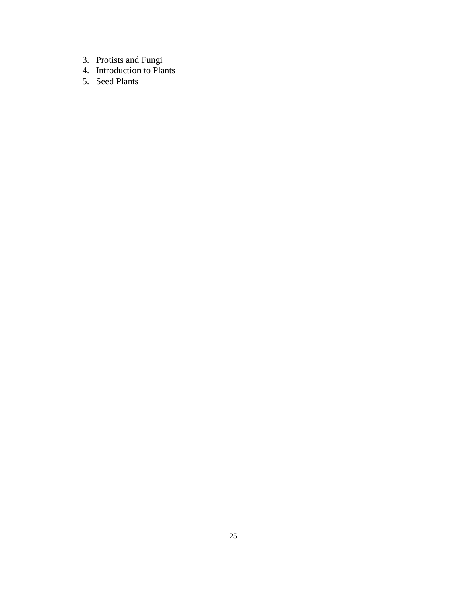- 3. Protists and Fungi
- 4. Introduction to Plants
- 5. Seed Plants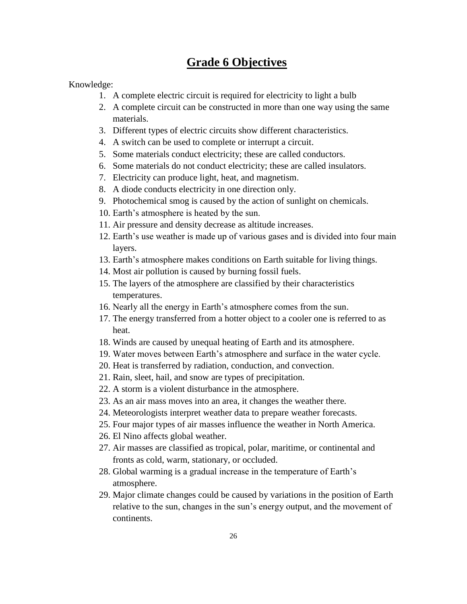# **Grade 6 Objectives**

Knowledge:

- 1. A complete electric circuit is required for electricity to light a bulb
- 2. A complete circuit can be constructed in more than one way using the same materials.
- 3. Different types of electric circuits show different characteristics.
- 4. A switch can be used to complete or interrupt a circuit.
- 5. Some materials conduct electricity; these are called conductors.
- 6. Some materials do not conduct electricity; these are called insulators.
- 7. Electricity can produce light, heat, and magnetism.
- 8. A diode conducts electricity in one direction only.
- 9. Photochemical smog is caused by the action of sunlight on chemicals.
- 10. Earth's atmosphere is heated by the sun.
- 11. Air pressure and density decrease as altitude increases.
- 12. Earth's use weather is made up of various gases and is divided into four main layers.
- 13. Earth's atmosphere makes conditions on Earth suitable for living things.
- 14. Most air pollution is caused by burning fossil fuels.
- 15. The layers of the atmosphere are classified by their characteristics temperatures.
- 16. Nearly all the energy in Earth's atmosphere comes from the sun.
- 17. The energy transferred from a hotter object to a cooler one is referred to as heat.
- 18. Winds are caused by unequal heating of Earth and its atmosphere.
- 19. Water moves between Earth's atmosphere and surface in the water cycle.
- 20. Heat is transferred by radiation, conduction, and convection.
- 21. Rain, sleet, hail, and snow are types of precipitation.
- 22. A storm is a violent disturbance in the atmosphere.
- 23. As an air mass moves into an area, it changes the weather there.
- 24. Meteorologists interpret weather data to prepare weather forecasts.
- 25. Four major types of air masses influence the weather in North America.
- 26. El Nino affects global weather.
- 27. Air masses are classified as tropical, polar, maritime, or continental and fronts as cold, warm, stationary, or occluded.
- 28. Global warming is a gradual increase in the temperature of Earth's atmosphere.
- 29. Major climate changes could be caused by variations in the position of Earth relative to the sun, changes in the sun's energy output, and the movement of continents.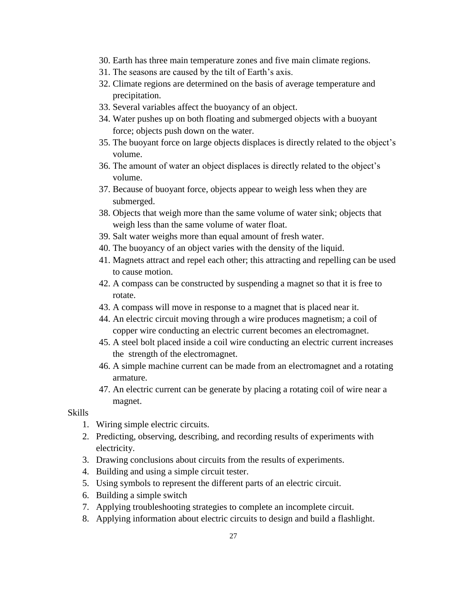- 30. Earth has three main temperature zones and five main climate regions.
- 31. The seasons are caused by the tilt of Earth's axis.
- 32. Climate regions are determined on the basis of average temperature and precipitation.
- 33. Several variables affect the buoyancy of an object.
- 34. Water pushes up on both floating and submerged objects with a buoyant force; objects push down on the water.
- 35. The buoyant force on large objects displaces is directly related to the object's volume.
- 36. The amount of water an object displaces is directly related to the object's volume.
- 37. Because of buoyant force, objects appear to weigh less when they are submerged.
- 38. Objects that weigh more than the same volume of water sink; objects that weigh less than the same volume of water float.
- 39. Salt water weighs more than equal amount of fresh water.
- 40. The buoyancy of an object varies with the density of the liquid.
- 41. Magnets attract and repel each other; this attracting and repelling can be used to cause motion.
- 42. A compass can be constructed by suspending a magnet so that it is free to rotate.
- 43. A compass will move in response to a magnet that is placed near it.
- 44. An electric circuit moving through a wire produces magnetism; a coil of copper wire conducting an electric current becomes an electromagnet.
- 45. A steel bolt placed inside a coil wire conducting an electric current increases the strength of the electromagnet.
- 46. A simple machine current can be made from an electromagnet and a rotating armature.
- 47. An electric current can be generate by placing a rotating coil of wire near a magnet.

#### Skills

- 1. Wiring simple electric circuits.
- 2. Predicting, observing, describing, and recording results of experiments with electricity.
- 3. Drawing conclusions about circuits from the results of experiments.
- 4. Building and using a simple circuit tester.
- 5. Using symbols to represent the different parts of an electric circuit.
- 6. Building a simple switch
- 7. Applying troubleshooting strategies to complete an incomplete circuit.
- 8. Applying information about electric circuits to design and build a flashlight.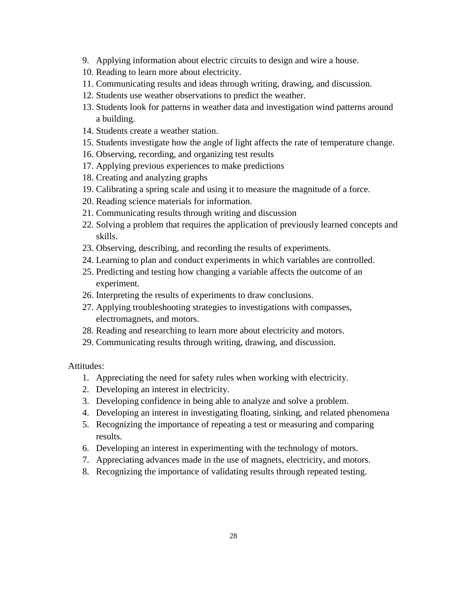- 9. Applying information about electric circuits to design and wire a house.
- 10. Reading to learn more about electricity.
- 11. Communicating results and ideas through writing, drawing, and discussion.
- 12. Students use weather observations to predict the weather.
- 13. Students look for patterns in weather data and investigation wind patterns around a building.
- 14. Students create a weather station.
- 15. Students investigate how the angle of light affects the rate of temperature change.
- 16. Observing, recording, and organizing test results
- 17. Applying previous experiences to make predictions
- 18. Creating and analyzing graphs
- 19. Calibrating a spring scale and using it to measure the magnitude of a force.
- 20. Reading science materials for information.
- 21. Communicating results through writing and discussion
- 22. Solving a problem that requires the application of previously learned concepts and skills.
- 23. Observing, describing, and recording the results of experiments.
- 24. Learning to plan and conduct experiments in which variables are controlled.
- 25. Predicting and testing how changing a variable affects the outcome of an experiment.
- 26. Interpreting the results of experiments to draw conclusions.
- 27. Applying troubleshooting strategies to investigations with compasses, electromagnets, and motors.
- 28. Reading and researching to learn more about electricity and motors.
- 29. Communicating results through writing, drawing, and discussion.

Attitudes:

- 1. Appreciating the need for safety rules when working with electricity.
- 2. Developing an interest in electricity.
- 3. Developing confidence in being able to analyze and solve a problem.
- 4. Developing an interest in investigating floating, sinking, and related phenomena
- 5. Recognizing the importance of repeating a test or measuring and comparing results.
- 6. Developing an interest in experimenting with the technology of motors.
- 7. Appreciating advances made in the use of magnets, electricity, and motors.
- 8. Recognizing the importance of validating results through repeated testing.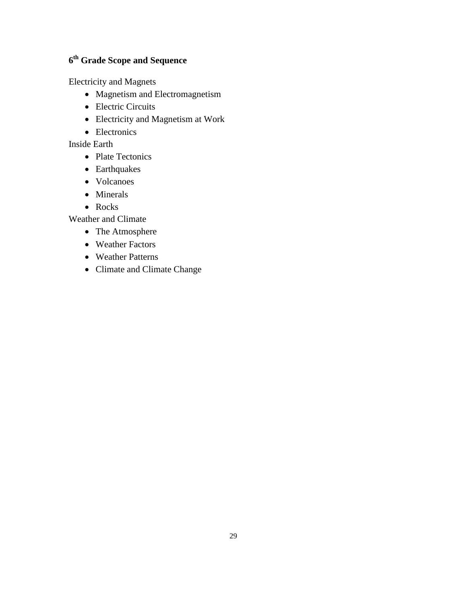## **6 th Grade Scope and Sequence**

Electricity and Magnets

- Magnetism and Electromagnetism
- Electric Circuits
- Electricity and Magnetism at Work
- Electronics

Inside Earth

- Plate Tectonics
- Earthquakes
- Volcanoes
- Minerals
- Rocks

Weather and Climate

- The Atmosphere
- Weather Factors
- Weather Patterns
- Climate and Climate Change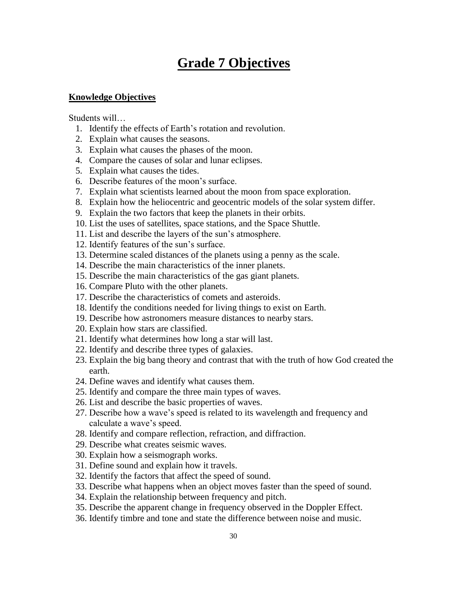# **Grade 7 Objectives**

### **Knowledge Objectives**

Students will…

- 1. Identify the effects of Earth's rotation and revolution.
- 2. Explain what causes the seasons.
- 3. Explain what causes the phases of the moon.
- 4. Compare the causes of solar and lunar eclipses.
- 5. Explain what causes the tides.
- 6. Describe features of the moon's surface.
- 7. Explain what scientists learned about the moon from space exploration.
- 8. Explain how the heliocentric and geocentric models of the solar system differ.
- 9. Explain the two factors that keep the planets in their orbits.
- 10. List the uses of satellites, space stations, and the Space Shuttle.
- 11. List and describe the layers of the sun's atmosphere.
- 12. Identify features of the sun's surface.
- 13. Determine scaled distances of the planets using a penny as the scale.
- 14. Describe the main characteristics of the inner planets.
- 15. Describe the main characteristics of the gas giant planets.
- 16. Compare Pluto with the other planets.
- 17. Describe the characteristics of comets and asteroids.
- 18. Identify the conditions needed for living things to exist on Earth.
- 19. Describe how astronomers measure distances to nearby stars.
- 20. Explain how stars are classified.
- 21. Identify what determines how long a star will last.
- 22. Identify and describe three types of galaxies.
- 23. Explain the big bang theory and contrast that with the truth of how God created the earth.
- 24. Define waves and identify what causes them.
- 25. Identify and compare the three main types of waves.
- 26. List and describe the basic properties of waves.
- 27. Describe how a wave's speed is related to its wavelength and frequency and calculate a wave's speed.
- 28. Identify and compare reflection, refraction, and diffraction.
- 29. Describe what creates seismic waves.
- 30. Explain how a seismograph works.
- 31. Define sound and explain how it travels.
- 32. Identify the factors that affect the speed of sound.
- 33. Describe what happens when an object moves faster than the speed of sound.
- 34. Explain the relationship between frequency and pitch.
- 35. Describe the apparent change in frequency observed in the Doppler Effect.
- 36. Identify timbre and tone and state the difference between noise and music.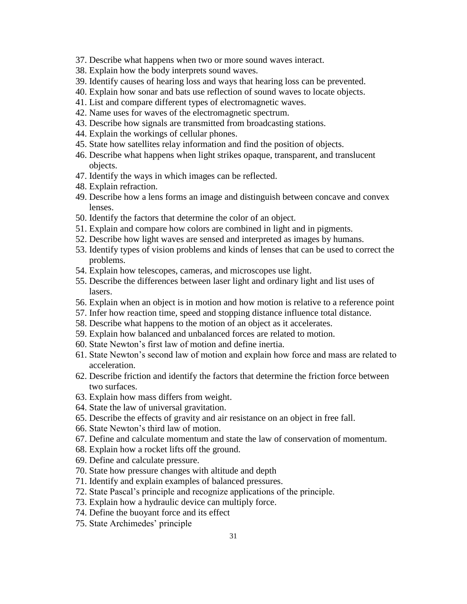- 37. Describe what happens when two or more sound waves interact.
- 38. Explain how the body interprets sound waves.
- 39. Identify causes of hearing loss and ways that hearing loss can be prevented.
- 40. Explain how sonar and bats use reflection of sound waves to locate objects.
- 41. List and compare different types of electromagnetic waves.
- 42. Name uses for waves of the electromagnetic spectrum.
- 43. Describe how signals are transmitted from broadcasting stations.
- 44. Explain the workings of cellular phones.
- 45. State how satellites relay information and find the position of objects.
- 46. Describe what happens when light strikes opaque, transparent, and translucent objects.
- 47. Identify the ways in which images can be reflected.
- 48. Explain refraction.
- 49. Describe how a lens forms an image and distinguish between concave and convex lenses.
- 50. Identify the factors that determine the color of an object.
- 51. Explain and compare how colors are combined in light and in pigments.
- 52. Describe how light waves are sensed and interpreted as images by humans.
- 53. Identify types of vision problems and kinds of lenses that can be used to correct the problems.
- 54. Explain how telescopes, cameras, and microscopes use light.
- 55. Describe the differences between laser light and ordinary light and list uses of lasers.
- 56. Explain when an object is in motion and how motion is relative to a reference point
- 57. Infer how reaction time, speed and stopping distance influence total distance.
- 58. Describe what happens to the motion of an object as it accelerates.
- 59. Explain how balanced and unbalanced forces are related to motion.
- 60. State Newton's first law of motion and define inertia.
- 61. State Newton's second law of motion and explain how force and mass are related to acceleration.
- 62. Describe friction and identify the factors that determine the friction force between two surfaces.
- 63. Explain how mass differs from weight.
- 64. State the law of universal gravitation.
- 65. Describe the effects of gravity and air resistance on an object in free fall.
- 66. State Newton's third law of motion.
- 67. Define and calculate momentum and state the law of conservation of momentum.
- 68. Explain how a rocket lifts off the ground.
- 69. Define and calculate pressure.
- 70. State how pressure changes with altitude and depth
- 71. Identify and explain examples of balanced pressures.
- 72. State Pascal's principle and recognize applications of the principle.
- 73. Explain how a hydraulic device can multiply force.
- 74. Define the buoyant force and its effect
- 75. State Archimedes' principle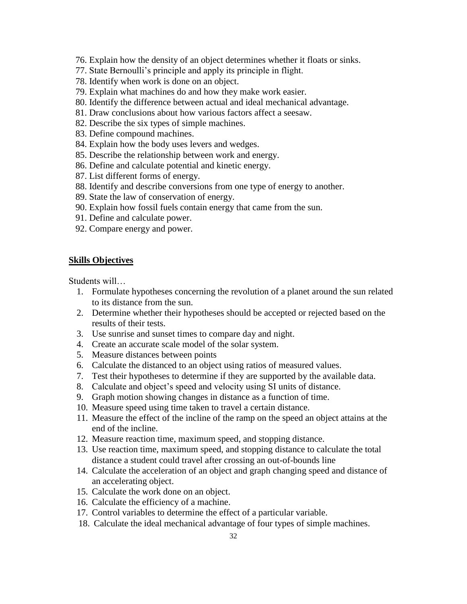- 76. Explain how the density of an object determines whether it floats or sinks.
- 77. State Bernoulli's principle and apply its principle in flight.
- 78. Identify when work is done on an object.
- 79. Explain what machines do and how they make work easier.
- 80. Identify the difference between actual and ideal mechanical advantage.
- 81. Draw conclusions about how various factors affect a seesaw.
- 82. Describe the six types of simple machines.
- 83. Define compound machines.
- 84. Explain how the body uses levers and wedges.
- 85. Describe the relationship between work and energy.
- 86. Define and calculate potential and kinetic energy.
- 87. List different forms of energy.
- 88. Identify and describe conversions from one type of energy to another.
- 89. State the law of conservation of energy.
- 90. Explain how fossil fuels contain energy that came from the sun.
- 91. Define and calculate power.
- 92. Compare energy and power.

#### **Skills Objectives**

Students will…

- 1. Formulate hypotheses concerning the revolution of a planet around the sun related to its distance from the sun.
- 2. Determine whether their hypotheses should be accepted or rejected based on the results of their tests.
- 3. Use sunrise and sunset times to compare day and night.
- 4. Create an accurate scale model of the solar system.
- 5. Measure distances between points
- 6. Calculate the distanced to an object using ratios of measured values.
- 7. Test their hypotheses to determine if they are supported by the available data.
- 8. Calculate and object's speed and velocity using SI units of distance.
- 9. Graph motion showing changes in distance as a function of time.
- 10. Measure speed using time taken to travel a certain distance.
- 11. Measure the effect of the incline of the ramp on the speed an object attains at the end of the incline.
- 12. Measure reaction time, maximum speed, and stopping distance.
- 13. Use reaction time, maximum speed, and stopping distance to calculate the total distance a student could travel after crossing an out-of-bounds line
- 14. Calculate the acceleration of an object and graph changing speed and distance of an accelerating object.
- 15. Calculate the work done on an object.
- 16. Calculate the efficiency of a machine.
- 17. Control variables to determine the effect of a particular variable.
- 18. Calculate the ideal mechanical advantage of four types of simple machines.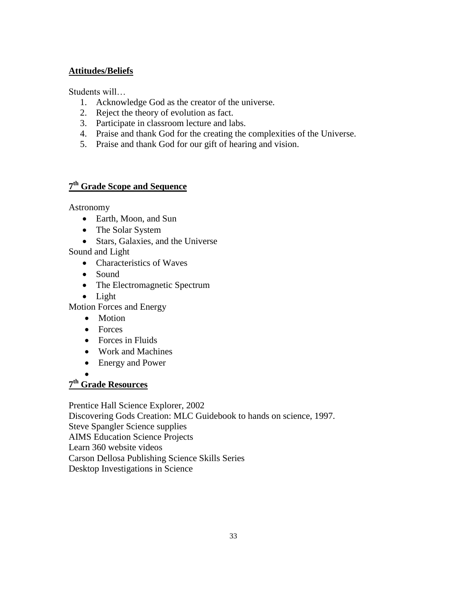## **Attitudes/Beliefs**

Students will…

- 1. Acknowledge God as the creator of the universe.
- 2. Reject the theory of evolution as fact.
- 3. Participate in classroom lecture and labs.
- 4. Praise and thank God for the creating the complexities of the Universe.
- 5. Praise and thank God for our gift of hearing and vision.

# **7 th Grade Scope and Sequence**

Astronomy

- Earth, Moon, and Sun
- The Solar System
- Stars, Galaxies, and the Universe

Sound and Light

- Characteristics of Waves
- Sound
- The Electromagnetic Spectrum
- Light

Motion Forces and Energy

- Motion
- Forces
- Forces in Fluids
- Work and Machines
- Energy and Power
- $\bullet$

## **7 th Grade Resources**

Prentice Hall Science Explorer, 2002

Discovering Gods Creation: MLC Guidebook to hands on science, 1997. Steve Spangler Science supplies AIMS Education Science Projects Learn 360 website videos Carson Dellosa Publishing Science Skills Series Desktop Investigations in Science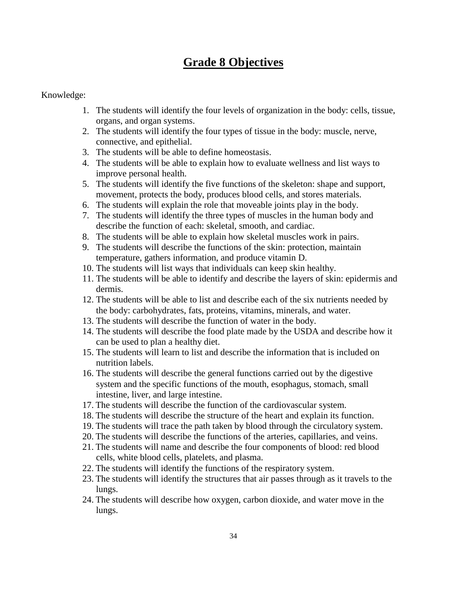# **Grade 8 Objectives**

### Knowledge:

- 1. The students will identify the four levels of organization in the body: cells, tissue, organs, and organ systems.
- 2. The students will identify the four types of tissue in the body: muscle, nerve, connective, and epithelial.
- 3. The students will be able to define homeostasis.
- 4. The students will be able to explain how to evaluate wellness and list ways to improve personal health.
- 5. The students will identify the five functions of the skeleton: shape and support, movement, protects the body, produces blood cells, and stores materials.
- 6. The students will explain the role that moveable joints play in the body.
- 7. The students will identify the three types of muscles in the human body and describe the function of each: skeletal, smooth, and cardiac.
- 8. The students will be able to explain how skeletal muscles work in pairs.
- 9. The students will describe the functions of the skin: protection, maintain temperature, gathers information, and produce vitamin D.
- 10. The students will list ways that individuals can keep skin healthy.
- 11. The students will be able to identify and describe the layers of skin: epidermis and dermis.
- 12. The students will be able to list and describe each of the six nutrients needed by the body: carbohydrates, fats, proteins, vitamins, minerals, and water.
- 13. The students will describe the function of water in the body.
- 14. The students will describe the food plate made by the USDA and describe how it can be used to plan a healthy diet.
- 15. The students will learn to list and describe the information that is included on nutrition labels.
- 16. The students will describe the general functions carried out by the digestive system and the specific functions of the mouth, esophagus, stomach, small intestine, liver, and large intestine.
- 17. The students will describe the function of the cardiovascular system.
- 18. The students will describe the structure of the heart and explain its function.
- 19. The students will trace the path taken by blood through the circulatory system.
- 20. The students will describe the functions of the arteries, capillaries, and veins.
- 21. The students will name and describe the four components of blood: red blood cells, white blood cells, platelets, and plasma.
- 22. The students will identify the functions of the respiratory system.
- 23. The students will identify the structures that air passes through as it travels to the lungs.
- 24. The students will describe how oxygen, carbon dioxide, and water move in the lungs.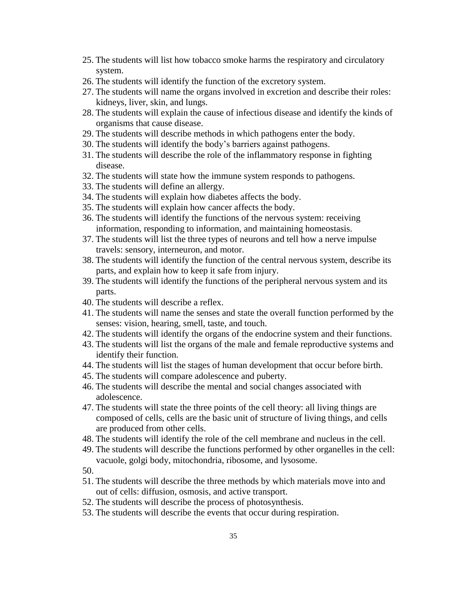- 25. The students will list how tobacco smoke harms the respiratory and circulatory system.
- 26. The students will identify the function of the excretory system.
- 27. The students will name the organs involved in excretion and describe their roles: kidneys, liver, skin, and lungs.
- 28. The students will explain the cause of infectious disease and identify the kinds of organisms that cause disease.
- 29. The students will describe methods in which pathogens enter the body.
- 30. The students will identify the body's barriers against pathogens.
- 31. The students will describe the role of the inflammatory response in fighting disease.
- 32. The students will state how the immune system responds to pathogens.
- 33. The students will define an allergy.
- 34. The students will explain how diabetes affects the body.
- 35. The students will explain how cancer affects the body.
- 36. The students will identify the functions of the nervous system: receiving information, responding to information, and maintaining homeostasis.
- 37. The students will list the three types of neurons and tell how a nerve impulse travels: sensory, interneuron, and motor.
- 38. The students will identify the function of the central nervous system, describe its parts, and explain how to keep it safe from injury.
- 39. The students will identify the functions of the peripheral nervous system and its parts.
- 40. The students will describe a reflex.
- 41. The students will name the senses and state the overall function performed by the senses: vision, hearing, smell, taste, and touch.
- 42. The students will identify the organs of the endocrine system and their functions.
- 43. The students will list the organs of the male and female reproductive systems and identify their function.
- 44. The students will list the stages of human development that occur before birth.
- 45. The students will compare adolescence and puberty.
- 46. The students will describe the mental and social changes associated with adolescence.
- 47. The students will state the three points of the cell theory: all living things are composed of cells, cells are the basic unit of structure of living things, and cells are produced from other cells.
- 48. The students will identify the role of the cell membrane and nucleus in the cell.
- 49. The students will describe the functions performed by other organelles in the cell: vacuole, golgi body, mitochondria, ribosome, and lysosome.

50.

- 51. The students will describe the three methods by which materials move into and out of cells: diffusion, osmosis, and active transport.
- 52. The students will describe the process of photosynthesis.
- 53. The students will describe the events that occur during respiration.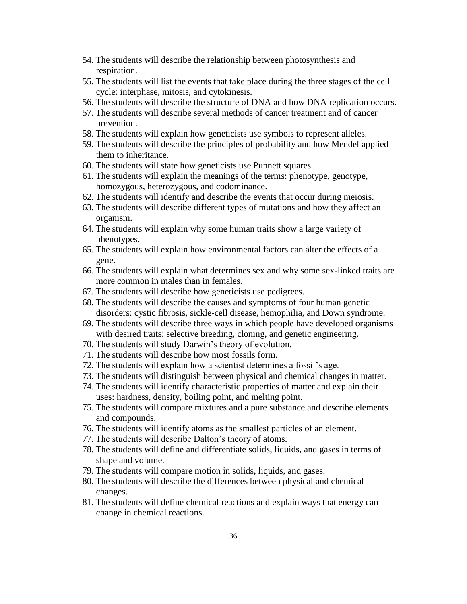- 54. The students will describe the relationship between photosynthesis and respiration.
- 55. The students will list the events that take place during the three stages of the cell cycle: interphase, mitosis, and cytokinesis.
- 56. The students will describe the structure of DNA and how DNA replication occurs.
- 57. The students will describe several methods of cancer treatment and of cancer prevention.
- 58. The students will explain how geneticists use symbols to represent alleles.
- 59. The students will describe the principles of probability and how Mendel applied them to inheritance.
- 60. The students will state how geneticists use Punnett squares.
- 61. The students will explain the meanings of the terms: phenotype, genotype, homozygous, heterozygous, and codominance.
- 62. The students will identify and describe the events that occur during meiosis.
- 63. The students will describe different types of mutations and how they affect an organism.
- 64. The students will explain why some human traits show a large variety of phenotypes.
- 65. The students will explain how environmental factors can alter the effects of a gene.
- 66. The students will explain what determines sex and why some sex-linked traits are more common in males than in females.
- 67. The students will describe how geneticists use pedigrees.
- 68. The students will describe the causes and symptoms of four human genetic disorders: cystic fibrosis, sickle-cell disease, hemophilia, and Down syndrome.
- 69. The students will describe three ways in which people have developed organisms with desired traits: selective breeding, cloning, and genetic engineering.
- 70. The students will study Darwin's theory of evolution.
- 71. The students will describe how most fossils form.
- 72. The students will explain how a scientist determines a fossil's age.
- 73. The students will distinguish between physical and chemical changes in matter.
- 74. The students will identify characteristic properties of matter and explain their uses: hardness, density, boiling point, and melting point.
- 75. The students will compare mixtures and a pure substance and describe elements and compounds.
- 76. The students will identify atoms as the smallest particles of an element.
- 77. The students will describe Dalton's theory of atoms.
- 78. The students will define and differentiate solids, liquids, and gases in terms of shape and volume.
- 79. The students will compare motion in solids, liquids, and gases.
- 80. The students will describe the differences between physical and chemical changes.
- 81. The students will define chemical reactions and explain ways that energy can change in chemical reactions.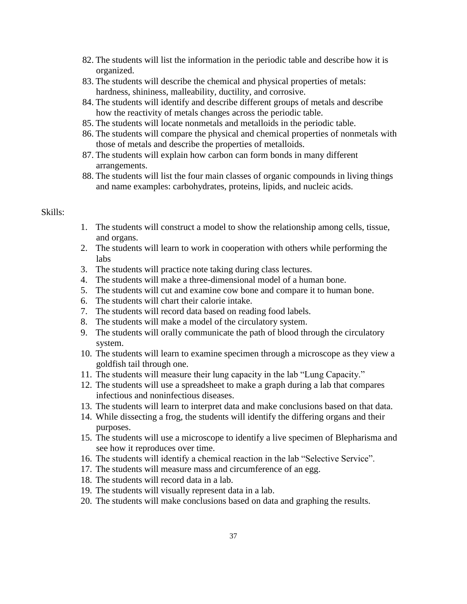- 82. The students will list the information in the periodic table and describe how it is organized.
- 83. The students will describe the chemical and physical properties of metals: hardness, shininess, malleability, ductility, and corrosive.
- 84. The students will identify and describe different groups of metals and describe how the reactivity of metals changes across the periodic table.
- 85. The students will locate nonmetals and metalloids in the periodic table.
- 86. The students will compare the physical and chemical properties of nonmetals with those of metals and describe the properties of metalloids.
- 87. The students will explain how carbon can form bonds in many different arrangements.
- 88. The students will list the four main classes of organic compounds in living things and name examples: carbohydrates, proteins, lipids, and nucleic acids.

#### Skills:

- 1. The students will construct a model to show the relationship among cells, tissue, and organs.
- 2. The students will learn to work in cooperation with others while performing the labs
- 3. The students will practice note taking during class lectures.
- 4. The students will make a three-dimensional model of a human bone.
- 5. The students will cut and examine cow bone and compare it to human bone.
- 6. The students will chart their calorie intake.
- 7. The students will record data based on reading food labels.
- 8. The students will make a model of the circulatory system.
- 9. The students will orally communicate the path of blood through the circulatory system.
- 10. The students will learn to examine specimen through a microscope as they view a goldfish tail through one.
- 11. The students will measure their lung capacity in the lab "Lung Capacity."
- 12. The students will use a spreadsheet to make a graph during a lab that compares infectious and noninfectious diseases.
- 13. The students will learn to interpret data and make conclusions based on that data.
- 14. While dissecting a frog, the students will identify the differing organs and their purposes.
- 15. The students will use a microscope to identify a live specimen of Blepharisma and see how it reproduces over time.
- 16. The students will identify a chemical reaction in the lab "Selective Service".
- 17. The students will measure mass and circumference of an egg.
- 18. The students will record data in a lab.
- 19. The students will visually represent data in a lab.
- 20. The students will make conclusions based on data and graphing the results.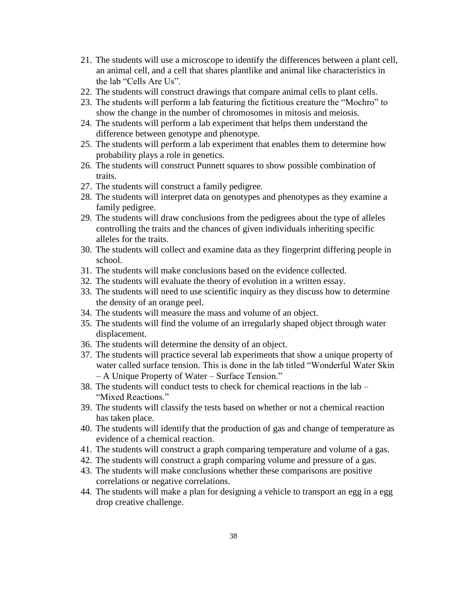- 21. The students will use a microscope to identify the differences between a plant cell, an animal cell, and a cell that shares plantlike and animal like characteristics in the lab "Cells Are Us".
- 22. The students will construct drawings that compare animal cells to plant cells.
- 23. The students will perform a lab featuring the fictitious creature the "Mochro" to show the change in the number of chromosomes in mitosis and meiosis.
- 24. The students will perform a lab experiment that helps them understand the difference between genotype and phenotype.
- 25. The students will perform a lab experiment that enables them to determine how probability plays a role in genetics.
- 26. The students will construct Punnett squares to show possible combination of traits.
- 27. The students will construct a family pedigree.
- 28. The students will interpret data on genotypes and phenotypes as they examine a family pedigree.
- 29. The students will draw conclusions from the pedigrees about the type of alleles controlling the traits and the chances of given individuals inheriting specific alleles for the traits.
- 30. The students will collect and examine data as they fingerprint differing people in school.
- 31. The students will make conclusions based on the evidence collected.
- 32. The students will evaluate the theory of evolution in a written essay.
- 33. The students will need to use scientific inquiry as they discuss how to determine the density of an orange peel.
- 34. The students will measure the mass and volume of an object.
- 35. The students will find the volume of an irregularly shaped object through water displacement.
- 36. The students will determine the density of an object.
- 37. The students will practice several lab experiments that show a unique property of water called surface tension. This is done in the lab titled "Wonderful Water Skin – A Unique Property of Water – Surface Tension."
- 38. The students will conduct tests to check for chemical reactions in the lab "Mixed Reactions."
- 39. The students will classify the tests based on whether or not a chemical reaction has taken place.
- 40. The students will identify that the production of gas and change of temperature as evidence of a chemical reaction.
- 41. The students will construct a graph comparing temperature and volume of a gas.
- 42. The students will construct a graph comparing volume and pressure of a gas.
- 43. The students will make conclusions whether these comparisons are positive correlations or negative correlations.
- 44. The students will make a plan for designing a vehicle to transport an egg in a egg drop creative challenge.